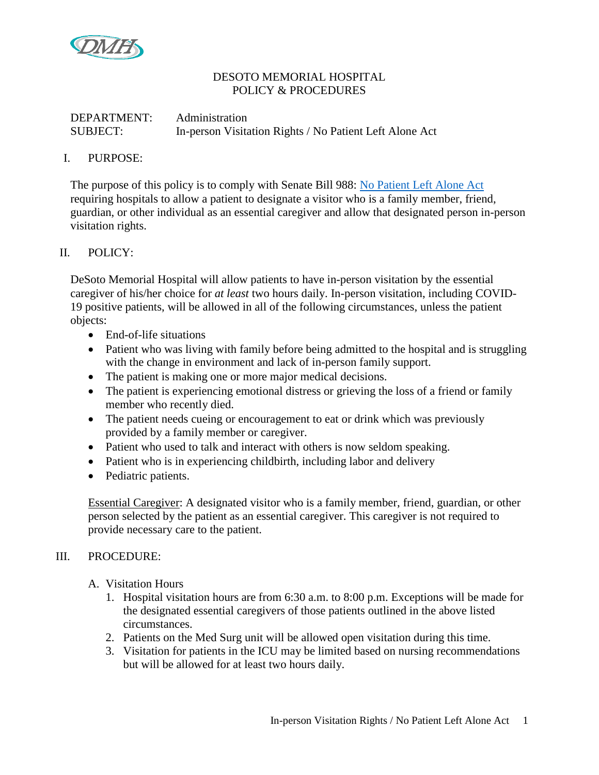

## DESOTO MEMORIAL HOSPITAL POLICY & PROCEDURES

# DEPARTMENT: Administration SUBJECT: In-person Visitation Rights / No Patient Left Alone Act

### I. PURPOSE:

The purpose of this policy is to comply with Senate Bill 988: [No Patient Left Alone Act](https://www.flsenate.gov/Session/Bill/2022/988/BillText/er/PDF) requiring hospitals to allow a patient to designate a visitor who is a family member, friend, guardian, or other individual as an essential caregiver and allow that designated person in-person visitation rights.

# II. POLICY:

DeSoto Memorial Hospital will allow patients to have in-person visitation by the essential caregiver of his/her choice for *at least* two hours daily. In-person visitation, including COVID-19 positive patients, will be allowed in all of the following circumstances, unless the patient objects:

- End-of-life situations
- Patient who was living with family before being admitted to the hospital and is struggling with the change in environment and lack of in-person family support.
- The patient is making one or more major medical decisions.
- The patient is experiencing emotional distress or grieving the loss of a friend or family member who recently died.
- The patient needs cueing or encouragement to eat or drink which was previously provided by a family member or caregiver.
- Patient who used to talk and interact with others is now seldom speaking.
- Patient who is in experiencing childbirth, including labor and delivery
- Pediatric patients.

Essential Caregiver: A designated visitor who is a family member, friend, guardian, or other person selected by the patient as an essential caregiver. This caregiver is not required to provide necessary care to the patient.

#### III. PROCEDURE:

- A. Visitation Hours
	- 1. Hospital visitation hours are from 6:30 a.m. to 8:00 p.m. Exceptions will be made for the designated essential caregivers of those patients outlined in the above listed circumstances.
	- 2. Patients on the Med Surg unit will be allowed open visitation during this time.
	- 3. Visitation for patients in the ICU may be limited based on nursing recommendations but will be allowed for at least two hours daily.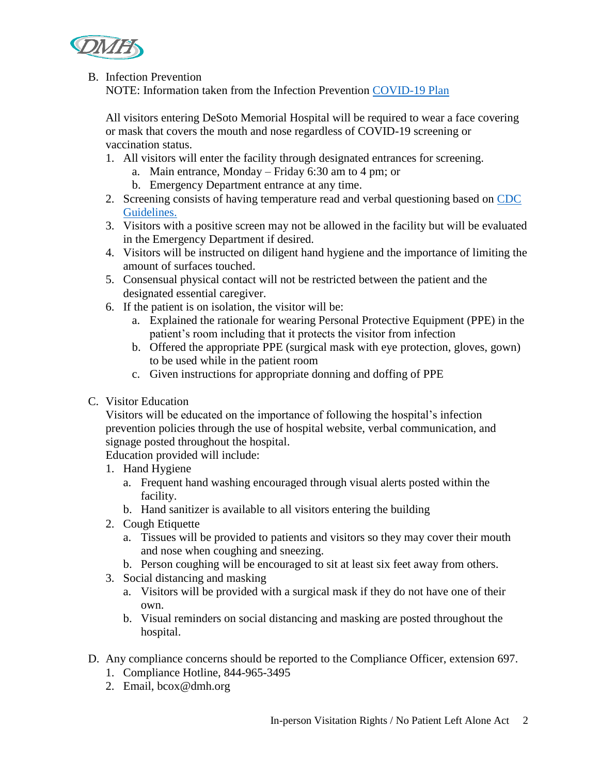

## B. Infection Prevention

NOTE: Information taken from the Infection Prevention [COVID-19 Plan](https://dmh.policytech.com/docview/?docid=2129)

All visitors entering DeSoto Memorial Hospital will be required to wear a face covering or mask that covers the mouth and nose regardless of COVID-19 screening or vaccination status.

- 1. All visitors will enter the facility through designated entrances for screening.
	- a. Main entrance, Monday Friday 6:30 am to 4 pm; or
	- b. Emergency Department entrance at any time.
- 2. Screening consists of having temperature read and verbal questioning based on CDC [Guidelines.](https://www.cdc.gov/coronavirus/2019-ncov/hcp/infection-control-recommendations.html)
- 3. Visitors with a positive screen may not be allowed in the facility but will be evaluated in the Emergency Department if desired.
- 4. Visitors will be instructed on diligent hand hygiene and the importance of limiting the amount of surfaces touched.
- 5. Consensual physical contact will not be restricted between the patient and the designated essential caregiver.
- 6. If the patient is on isolation, the visitor will be:
	- a. Explained the rationale for wearing Personal Protective Equipment (PPE) in the patient's room including that it protects the visitor from infection
	- b. Offered the appropriate PPE (surgical mask with eye protection, gloves, gown) to be used while in the patient room
	- c. Given instructions for appropriate donning and doffing of PPE
- C. Visitor Education

Visitors will be educated on the importance of following the hospital's infection prevention policies through the use of hospital website, verbal communication, and signage posted throughout the hospital.

Education provided will include:

- 1. Hand Hygiene
	- a. Frequent hand washing encouraged through visual alerts posted within the facility.
	- b. Hand sanitizer is available to all visitors entering the building
- 2. Cough Etiquette
	- a. Tissues will be provided to patients and visitors so they may cover their mouth and nose when coughing and sneezing.
	- b. Person coughing will be encouraged to sit at least six feet away from others.
- 3. Social distancing and masking
	- a. Visitors will be provided with a surgical mask if they do not have one of their own.
	- b. Visual reminders on social distancing and masking are posted throughout the hospital.
- D. Any compliance concerns should be reported to the Compliance Officer, extension 697.
	- 1. Compliance Hotline, 844-965-3495
	- 2. Email, bcox@dmh.org